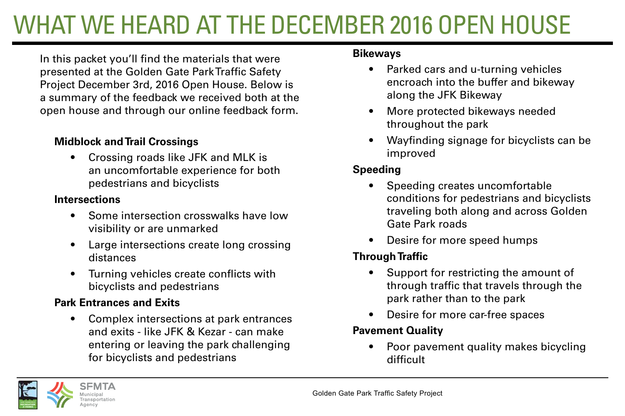## WHAT WE HEARD AT THE DECEMBER 2016 OPEN HOUSE

In this packet you'll find the materials that were presented at the Golden Gate Park Traffic Safety Project December 3rd, 2016 Open House. Below is a summary of the feedback we received both at the open house and through our online feedback form.

### **Midblock and Trail Crossings**

• Crossing roads like JFK and MLK is an uncomfortable experience for both pedestrians and bicyclists

### **Intersections**

- Some intersection crosswalks have low visibility or are unmarked
- Large intersections create long crossing distances
- Turning vehicles create conflicts with bicyclists and pedestrians

### **Park Entrances and Exits**

• Complex intersections at park entrances and exits - like JFK & Kezar - can make entering or leaving the park challenging for bicyclists and pedestrians

### **Bikeways**

- Parked cars and u-turning vehicles encroach into the buffer and bikeway along the JFK Bikeway
- More protected bikeways needed throughout the park
- Wayfinding signage for bicyclists can be improved

### **Speeding**

- Speeding creates uncomfortable conditions for pedestrians and bicyclists traveling both along and across Golden Gate Park roads
- Desire for more speed humps

### **Through Traffic**

- Support for restricting the amount of through traffic that travels through the park rather than to the park
- Desire for more car-free spaces

### **Pavement Quality**

• Poor pavement quality makes bicycling difficult

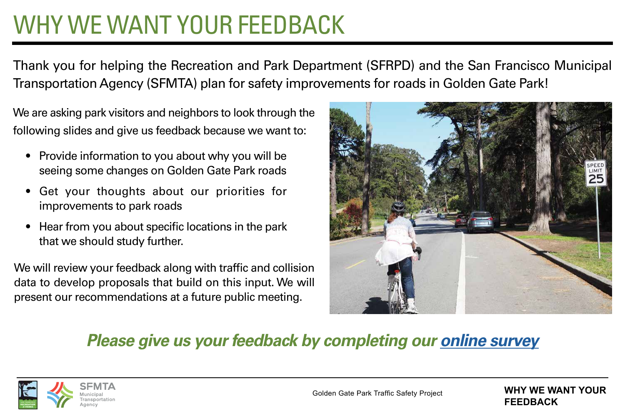## WHY WE WANT YOUR FEEDBACK

Thank you for helping the Recreation and Park Department (SFRPD) and the San Francisco Municipal Transportation Agency (SFMTA) plan for safety improvements for roads in Golden Gate Park!

We are asking park visitors and neighbors to look through the following slides and give us feedback because we want to:

- Provide information to you about why you will be seeing some changes on Golden Gate Park roads
- Get your thoughts about our priorities for improvements to park roads
- Hear from you about specific locations in the park that we should study further.

We will review your feedback along with traffic and collision data to develop proposals that build on this input. We will present our recommendations at a future public meeting.



## *Please give us your feedback by completing our [online survey](http://www.surveygizmo.com/s3/3247805/Golden-Gate-Park-Traffic-Safety-Project-Feedback-Survey)*



**WHY WE WANT YOUR FEEDBACK**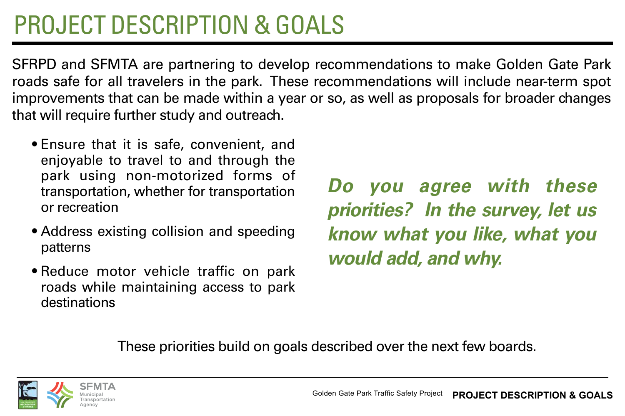## PROJECT DESCRIPTION & GOALS

SFRPD and SFMTA are partnering to develop recommendations to make Golden Gate Park roads safe for all travelers in the park. These recommendations will include near-term spot improvements that can be made within a year or so, as well as proposals for broader changes that will require further study and outreach.

- Ensure that it is safe, convenient, and enjoyable to travel to and through the park using non-motorized forms of transportation, whether for transportation or recreation
- Address existing collision and speeding patterns
- Reduce motor vehicle traffic on park roads while maintaining access to park destinations

*Do you agree with these priorities? In the survey, let us know what you like, what you would add, and why.*

These priorities build on goals described over the next few boards.

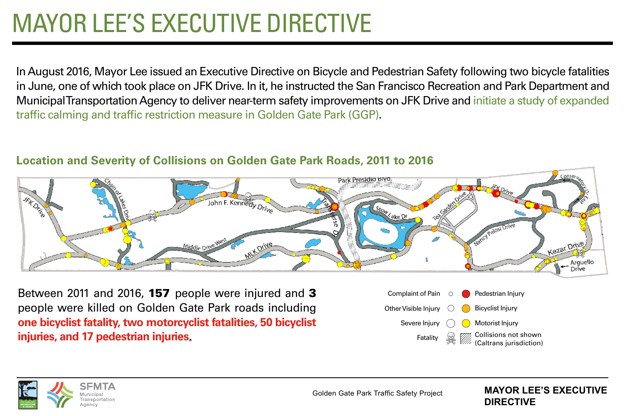# MAYOR LEE'S EXECUTIVE DIRECTIVE

In August 2016, Mayor Lee issued an Executive Directive on Bicycle and Pedestrian Safety following two bicycle fatalities in June, one of which took place on JFK Drive. In it, he instructed the San Francisco Recreation and Park Department and Municipal Transportation Agency to deliver near-term safety improvements on JFK Drive and initiate a study of expanded traffic calming and traffic restriction measure in Golden Gate Park (GGP).



### **Location and Severity of Collisions on Golden Gate Park Roads, 2011 to 2016**

Between 2011 and 2016, 157 people were injured and 3 people were killed on Golden Gate Park roads including **one bicyclist fatality, two motorcyclist fatalities, 50 bicyclist injuries, and 17 pedestrian injuries**.





Golden Gate Park Traffic Safety Project

#### **MAYOR LEE'S EXECUTIVE DIRECTIVE**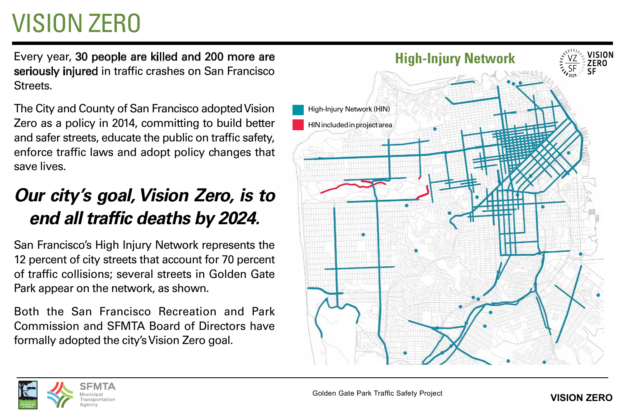# VISION ZERO

Every year, 30 people are killed and 200 more are seriously injured in traffic crashes on San Francisco Streets.

The City and County of San Francisco adopted Vision Zero as a policy in 2014, committing to build better and safer streets, educate the public on traffic safety, enforce traffic laws and adopt policy changes that save lives.

## *Our city's goal, Vision Zero, is to end all traffic deaths by 2024.*

San Francisco's High Injury Network represents the 12 percent of city streets that account for 70 percent of traffic collisions; several streets in Golden Gate Park appear on the network, as shown.

Both the San Francisco Recreation and Park Commission and SFMTA Board of Directors have formally adopted the city's Vision Zero goal.



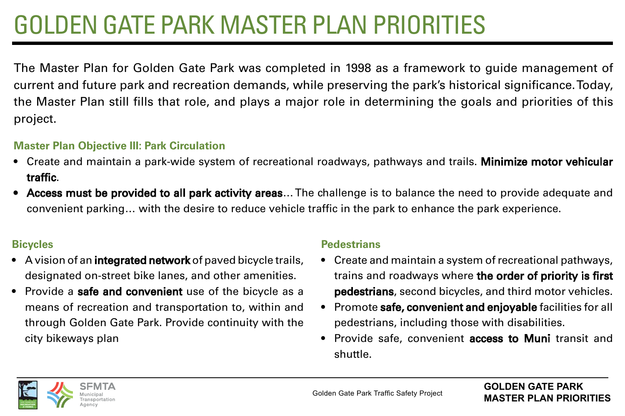# GOLDEN GATE PARK MASTER PLAN PRIORITIES

The Master Plan for Golden Gate Park was completed in 1998 as a framework to guide management of current and future park and recreation demands, while preserving the park's historical significance. Today, the Master Plan still fills that role, and plays a major role in determining the goals and priorities of this project.

### **Master Plan Objective III: Park Circulation**

- Create and maintain a park-wide system of recreational roadways, pathways and trails. **Minimize motor vehicular** traffic.
- Access must be provided to all park activity areas... The challenge is to balance the need to provide adequate and convenient parking… with the desire to reduce vehicle traffic in the park to enhance the park experience.

### **Bicycles**

- A vision of an **integrated network** of paved bicycle trails, designated on-street bike lanes, and other amenities.
- Provide a **safe and convenient** use of the bicycle as a means of recreation and transportation to, within and through Golden Gate Park. Provide continuity with the city bikeways plan

### **Pedestrians**

- Create and maintain a system of recreational pathways, trains and roadways where the order of priority is first pedestrians, second bicycles, and third motor vehicles.
- Promote safe, convenient and enjoyable facilities for all pedestrians, including those with disabilities.
- Provide safe, convenient access to Muni transit and shuttle.

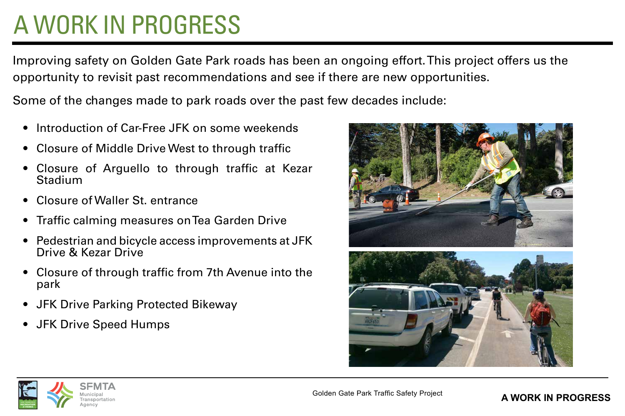## A WORK IN PROGRESS

Improving safety on Golden Gate Park roads has been an ongoing effort. This project offers us the opportunity to revisit past recommendations and see if there are new opportunities.

Some of the changes made to park roads over the past few decades include:

- Introduction of Car-Free JFK on some weekends
- Closure of Middle Drive West to through traffic
- Closure of Arguello to through traffic at Kezar Stadium
- Closure of Waller St. entrance
- Traffic calming measures on Tea Garden Drive
- Pedestrian and bicycle access improvements at JFK Drive & Kezar Drive
- Closure of through traffic from 7th Avenue into the park
- JFK Drive Parking Protected Bikeway
- JFK Drive Speed Humps



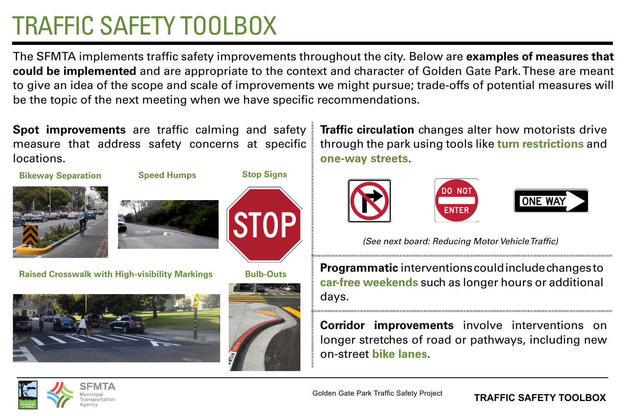## TRAFFIC SAFETY TOOLBOX

The SFMTA implements traffic safety improvements throughout the city. Below are **examples of measures that could be implemented** and are appropriate to the context and character of Golden Gate Park. These are meant to give an idea of the scope and scale of improvements we might pursue; trade-offs of potential measures will be the topic of the next meeting when we have specific recommendations.

**Spot improvements** are traffic calming and safety measure that address safety concerns at specific locations.

**Speed Humps**





**Raised Crosswalk with High-visibility Markings**





**Bulb-Outs**

**STOP** 

**Stop Signs**

**Traffic circulation** changes alter how motorists drive through the park using tools like **turn restrictions** and **one-way streets**.



 *(See next board: Reducing Motor Vehicle Traffic)*

**Programmatic** interventions could include changes to **car-free weekends** such as longer hours or additional days.

**Corridor improvements** involve interventions on longer stretches of road or pathways, including new on-street **bike lanes**.



#### **TRAFFIC SAFETY TOOLBOX**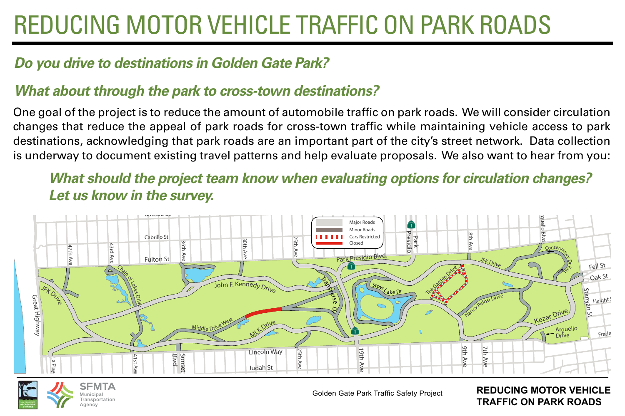## REDUCING MOTOR VEHICLE TRAFFIC ON PARK ROADS

### *Do you drive to destinations in Golden Gate Park?*

### *What about through the park to cross-town destinations?*

One goal of the project is to reduce the amount of automobile traffic on park roads. We will consider circulation changes that reduce the appeal of park roads for cross-town traffic while maintaining vehicle access to park destinations, acknowledging that park roads are an important part of the city's street network. Data collection is underway to document existing travel patterns and help evaluate proposals. We also want to hear from you:

*What should the project team know when evaluating options for circulation changes? Let us know in the survey.*





Golden Gate Park Traffic Safety Project

**REDUCING MOTOR VEHICLE TRAFFIC ON PARK ROADS**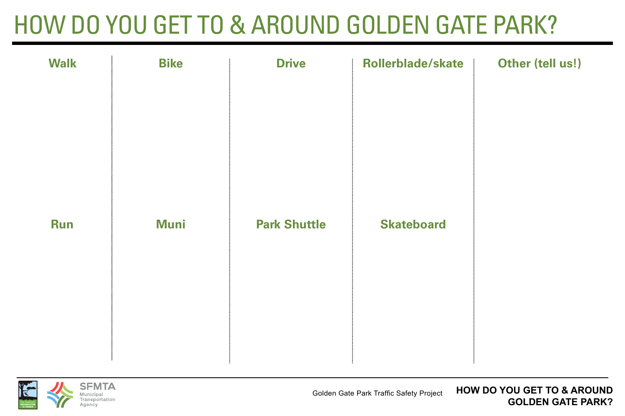## HOW DO YOU GET TO & AROUND GOLDEN GATE PARK?

|                                                                       | Other (tell us!) |
|-----------------------------------------------------------------------|------------------|
| <b>Park Shuttle</b><br><b>Muni</b><br><b>Skateboard</b><br><b>Run</b> |                  |

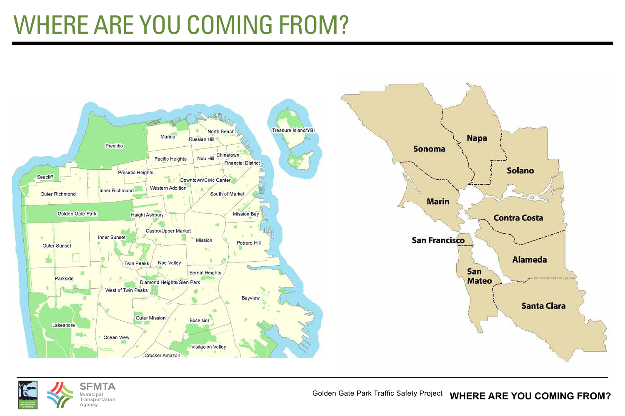## WHERE ARE YOU COMING FROM?





Golden Gate Park Traffic Safety Project **WHERE ARE YOU COMING FROM?**